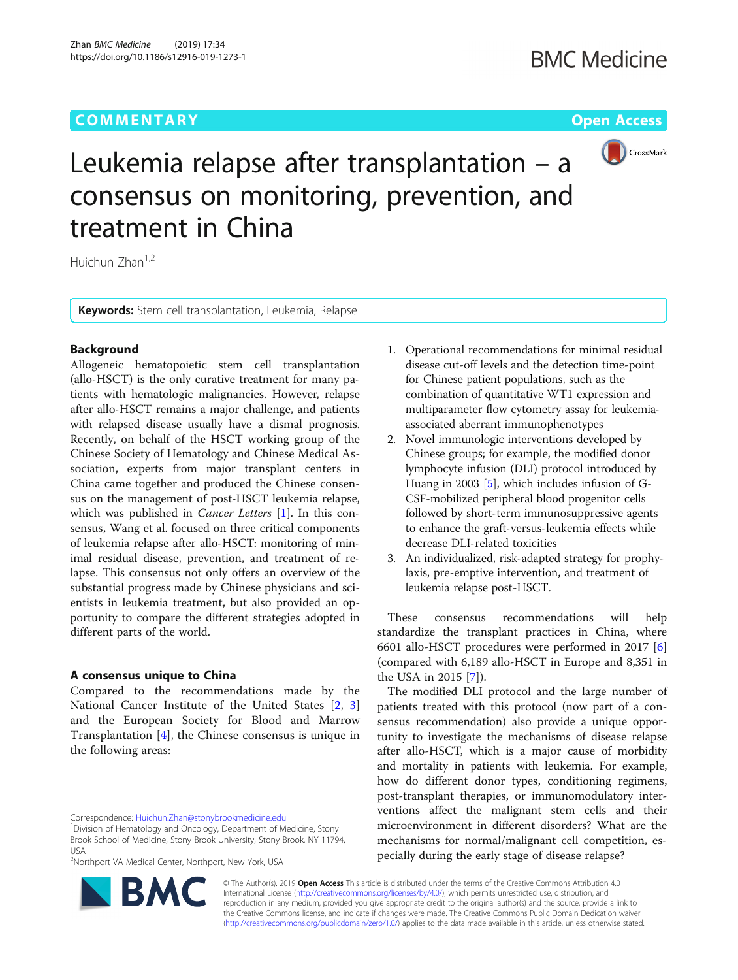# **COMMENTARY** COMMENTARY **COMMENTARY**



Leukemia relapse after transplantation – a consensus on monitoring, prevention, and treatment in China

Huichun Zhan<sup>1,2</sup>

Keywords: Stem cell transplantation, Leukemia, Relapse

## Background

Allogeneic hematopoietic stem cell transplantation (allo-HSCT) is the only curative treatment for many patients with hematologic malignancies. However, relapse after allo-HSCT remains a major challenge, and patients with relapsed disease usually have a dismal prognosis. Recently, on behalf of the HSCT working group of the Chinese Society of Hematology and Chinese Medical Association, experts from major transplant centers in China came together and produced the Chinese consensus on the management of post-HSCT leukemia relapse, which was published in *Cancer Letters* [\[1](#page-1-0)]. In this consensus, Wang et al. focused on three critical components of leukemia relapse after allo-HSCT: monitoring of minimal residual disease, prevention, and treatment of relapse. This consensus not only offers an overview of the substantial progress made by Chinese physicians and scientists in leukemia treatment, but also provided an opportunity to compare the different strategies adopted in different parts of the world.

## A consensus unique to China

Compared to the recommendations made by the National Cancer Institute of the United States [[2](#page-1-0), [3](#page-1-0)] and the European Society for Blood and Marrow Transplantation [[4\]](#page-1-0), the Chinese consensus is unique in the following areas:

<sup>2</sup>Northport VA Medical Center, Northport, New York, USA



- 2. Novel immunologic interventions developed by Chinese groups; for example, the modified donor lymphocyte infusion (DLI) protocol introduced by Huang in 2003 [\[5\]](#page-1-0), which includes infusion of G-CSF-mobilized peripheral blood progenitor cells followed by short-term immunosuppressive agents to enhance the graft-versus-leukemia effects while decrease DLI-related toxicities
- 3. An individualized, risk-adapted strategy for prophylaxis, pre-emptive intervention, and treatment of leukemia relapse post-HSCT.

These consensus recommendations will help standardize the transplant practices in China, where 6601 allo-HSCT procedures were performed in 2017 [\[6](#page-1-0)] (compared with 6,189 allo-HSCT in Europe and 8,351 in the USA in 2015 [\[7](#page-1-0)]).

The modified DLI protocol and the large number of patients treated with this protocol (now part of a consensus recommendation) also provide a unique opportunity to investigate the mechanisms of disease relapse after allo-HSCT, which is a major cause of morbidity and mortality in patients with leukemia. For example, how do different donor types, conditioning regimens, post-transplant therapies, or immunomodulatory interventions affect the malignant stem cells and their microenvironment in different disorders? What are the mechanisms for normal/malignant cell competition, especially during the early stage of disease relapse?



© The Author(s). 2019 **Open Access** This article is distributed under the terms of the Creative Commons Attribution 4.0 International License [\(http://creativecommons.org/licenses/by/4.0/](http://creativecommons.org/licenses/by/4.0/)), which permits unrestricted use, distribution, and reproduction in any medium, provided you give appropriate credit to the original author(s) and the source, provide a link to the Creative Commons license, and indicate if changes were made. The Creative Commons Public Domain Dedication waiver [\(http://creativecommons.org/publicdomain/zero/1.0/](http://creativecommons.org/publicdomain/zero/1.0/)) applies to the data made available in this article, unless otherwise stated.

Correspondence: [Huichun.Zhan@stonybrookmedicine.edu](mailto:Huichun.Zhan@stonybrookmedicine.edu) <sup>1</sup>

<sup>&</sup>lt;sup>1</sup>Division of Hematology and Oncology, Department of Medicine, Stony Brook School of Medicine, Stony Brook University, Stony Brook, NY 11794, USA